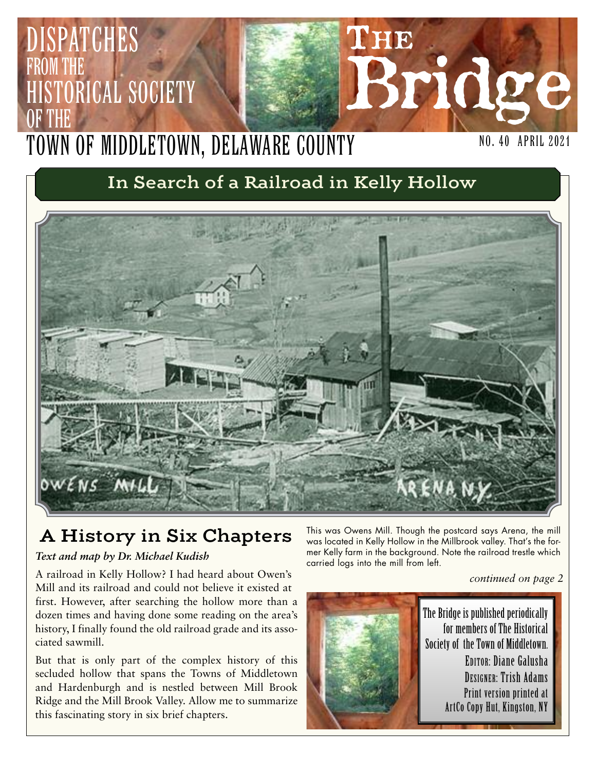## **THE Bridge** NO. 40 April 2021 PATCHES from the STORICAL SOCIETY OF THE Town of Middletown, Delaware County

# **In Search of a Railroad in Kelly Hollow**



# **A History in Six Chapters**

### *Text and map by Dr. Michael Kudish*

A railroad in Kelly Hollow? I had heard about Owen's Mill and its railroad and could not believe it existed at first. However, after searching the hollow more than a dozen times and having done some reading on the area's history, I finally found the old railroad grade and its associated sawmill.

But that is only part of the complex history of this secluded hollow that spans the Towns of Middletown and Hardenburgh and is nestled between Mill Brook Ridge and the Mill Brook Valley. Allow me to summarize this fascinating story in six brief chapters.

This was Owens Mill. Though the postcard says Arena, the mill was located in Kelly Hollow in the Millbrook valley. That's the former Kelly farm in the background. Note the railroad trestle which carried logs into the mill from left.

*continued on page 2*



The Bridge is published periodically for members of The Historical Society of the Town of Middletown. EDITOR: Diane Galusha DESIGNER: Trish Adams Print version printed at ArtCo Copy Hut, Kingston, NY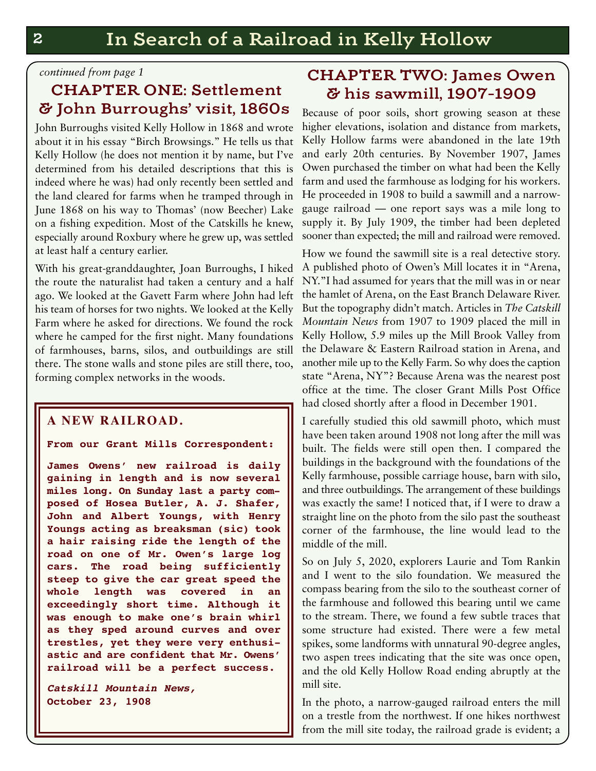#### *continued from page 1*

## **CHAPTER ONE: Settlement & John Burroughs' visit, 1860s**

John Burroughs visited Kelly Hollow in 1868 and wrote about it in his essay "Birch Browsings." He tells us that Kelly Hollow (he does not mention it by name, but I've determined from his detailed descriptions that this is indeed where he was) had only recently been settled and the land cleared for farms when he tramped through in June 1868 on his way to Thomas' (now Beecher) Lake on a fishing expedition. Most of the Catskills he knew, especially around Roxbury where he grew up, was settled at least half a century earlier.

With his great-granddaughter, Joan Burroughs, I hiked the route the naturalist had taken a century and a half ago. We looked at the Gavett Farm where John had left his team of horses for two nights. We looked at the Kelly Farm where he asked for directions. We found the rock where he camped for the first night. Many foundations of farmhouses, barns, silos, and outbuildings are still there. The stone walls and stone piles are still there, too, forming complex networks in the woods.

### **A NEW RAILROAD.**

#### **From our Grant Mills Correspondent:**

**James Owens' new railroad is daily gaining in length and is now several miles long. On Sunday last a party composed of Hosea Butler, A. J. Shafer, John and Albert Youngs, with Henry Youngs acting as breaksman (sic) took a hair raising ride the length of the road on one of Mr. Owen's large log cars. The road being sufficiently steep to give the car great speed the whole length was covered in an exceedingly short time. Although it was enough to make one's brain whirl as they sped around curves and over trestles, yet they were very enthusiastic and are confident that Mr. Owens' railroad will be a perfect success.**

*Catskill Mountain News,* **October 23, 1908**

## **CHAPTER TWO: James Owen & his sawmill, 1907-1909**

Because of poor soils, short growing season at these higher elevations, isolation and distance from markets, Kelly Hollow farms were abandoned in the late 19th and early 20th centuries. By November 1907, James Owen purchased the timber on what had been the Kelly farm and used the farmhouse as lodging for his workers. He proceeded in 1908 to build a sawmill and a narrowgauge railroad — one report says was a mile long to supply it. By July 1909, the timber had been depleted sooner than expected; the mill and railroad were removed.

How we found the sawmill site is a real detective story. A published photo of Owen's Mill locates it in "Arena, NY."I had assumed for years that the mill was in or near the hamlet of Arena, on the East Branch Delaware River. But the topography didn't match. Articles in *The Catskill Mountain News* from 1907 to 1909 placed the mill in Kelly Hollow, 5.9 miles up the Mill Brook Valley from the Delaware & Eastern Railroad station in Arena, and another mile up to the Kelly Farm. So why does the caption state "Arena, NY"? Because Arena was the nearest post office at the time. The closer Grant Mills Post Office had closed shortly after a flood in December 1901.

I carefully studied this old sawmill photo, which must have been taken around 1908 not long after the mill was built. The fields were still open then. I compared the buildings in the background with the foundations of the Kelly farmhouse, possible carriage house, barn with silo, and three outbuildings. The arrangement of these buildings was exactly the same! I noticed that, if I were to draw a straight line on the photo from the silo past the southeast corner of the farmhouse, the line would lead to the middle of the mill.

So on July 5, 2020, explorers Laurie and Tom Rankin and I went to the silo foundation. We measured the compass bearing from the silo to the southeast corner of the farmhouse and followed this bearing until we came to the stream. There, we found a few subtle traces that some structure had existed. There were a few metal spikes, some landforms with unnatural 90-degree angles, two aspen trees indicating that the site was once open, and the old Kelly Hollow Road ending abruptly at the mill site.

In the photo, a narrow-gauged railroad enters the mill on a trestle from the northwest. If one hikes northwest from the mill site today, the railroad grade is evident; a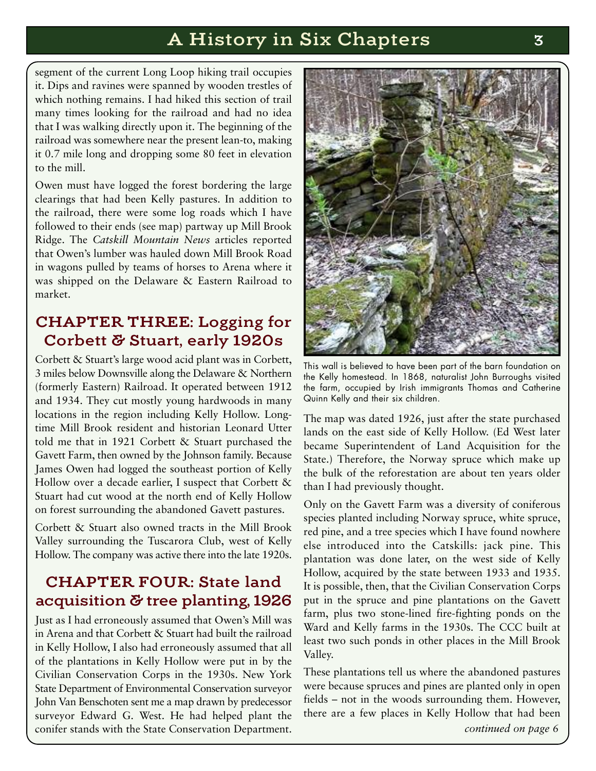## **A History in Six Chapters 3**

segment of the current Long Loop hiking trail occupies it. Dips and ravines were spanned by wooden trestles of which nothing remains. I had hiked this section of trail many times looking for the railroad and had no idea that I was walking directly upon it. The beginning of the railroad was somewhere near the present lean-to, making it 0.7 mile long and dropping some 80 feet in elevation to the mill.

Owen must have logged the forest bordering the large clearings that had been Kelly pastures. In addition to the railroad, there were some log roads which I have followed to their ends (see map) partway up Mill Brook Ridge. The *Catskill Mountain News* articles reported that Owen's lumber was hauled down Mill Brook Road in wagons pulled by teams of horses to Arena where it was shipped on the Delaware & Eastern Railroad to market.

## **CHAPTER THREE: Logging for Corbett & Stuart, early 1920s**

Corbett & Stuart's large wood acid plant was in Corbett, 3 miles below Downsville along the Delaware & Northern (formerly Eastern) Railroad. It operated between 1912 and 1934. They cut mostly young hardwoods in many locations in the region including Kelly Hollow. Longtime Mill Brook resident and historian Leonard Utter told me that in 1921 Corbett & Stuart purchased the Gavett Farm, then owned by the Johnson family. Because James Owen had logged the southeast portion of Kelly Hollow over a decade earlier, I suspect that Corbett & Stuart had cut wood at the north end of Kelly Hollow on forest surrounding the abandoned Gavett pastures.

Corbett & Stuart also owned tracts in the Mill Brook Valley surrounding the Tuscarora Club, west of Kelly Hollow. The company was active there into the late 1920s.

## **CHAPTER FOUR: State land acquisition & tree planting, 1926**

Just as I had erroneously assumed that Owen's Mill was in Arena and that Corbett & Stuart had built the railroad in Kelly Hollow, I also had erroneously assumed that all of the plantations in Kelly Hollow were put in by the Civilian Conservation Corps in the 1930s. New York State Department of Environmental Conservation surveyor John Van Benschoten sent me a map drawn by predecessor surveyor Edward G. West. He had helped plant the conifer stands with the State Conservation Department.



This wall is believed to have been part of the barn foundation on the Kelly homestead. In 1868, naturalist John Burroughs visited the farm, occupied by Irish immigrants Thomas and Catherine Quinn Kelly and their six children.

The map was dated 1926, just after the state purchased lands on the east side of Kelly Hollow. (Ed West later became Superintendent of Land Acquisition for the State.) Therefore, the Norway spruce which make up the bulk of the reforestation are about ten years older than I had previously thought.

Only on the Gavett Farm was a diversity of coniferous species planted including Norway spruce, white spruce, red pine, and a tree species which I have found nowhere else introduced into the Catskills: jack pine. This plantation was done later, on the west side of Kelly Hollow, acquired by the state between 1933 and 1935. It is possible, then, that the Civilian Conservation Corps put in the spruce and pine plantations on the Gavett farm, plus two stone-lined fire-fighting ponds on the Ward and Kelly farms in the 1930s. The CCC built at least two such ponds in other places in the Mill Brook Valley.

These plantations tell us where the abandoned pastures were because spruces and pines are planted only in open fields – not in the woods surrounding them. However, there are a few places in Kelly Hollow that had been *continued on page 6*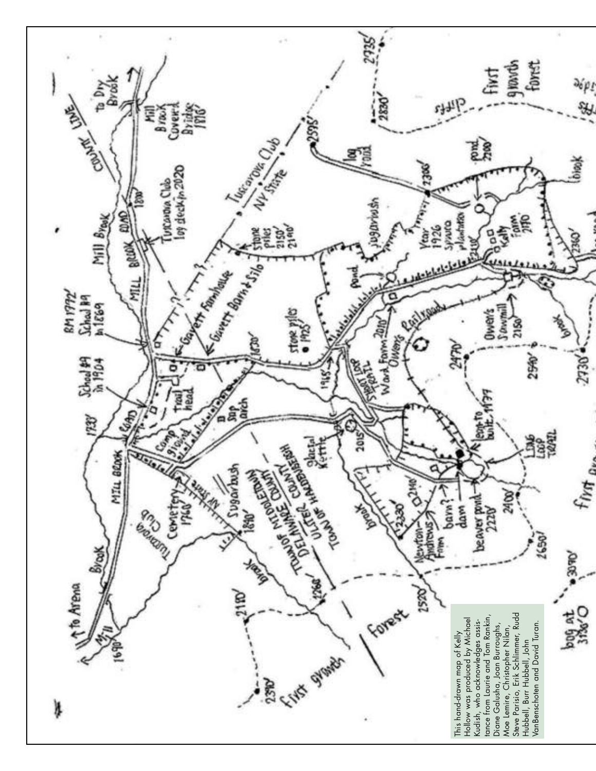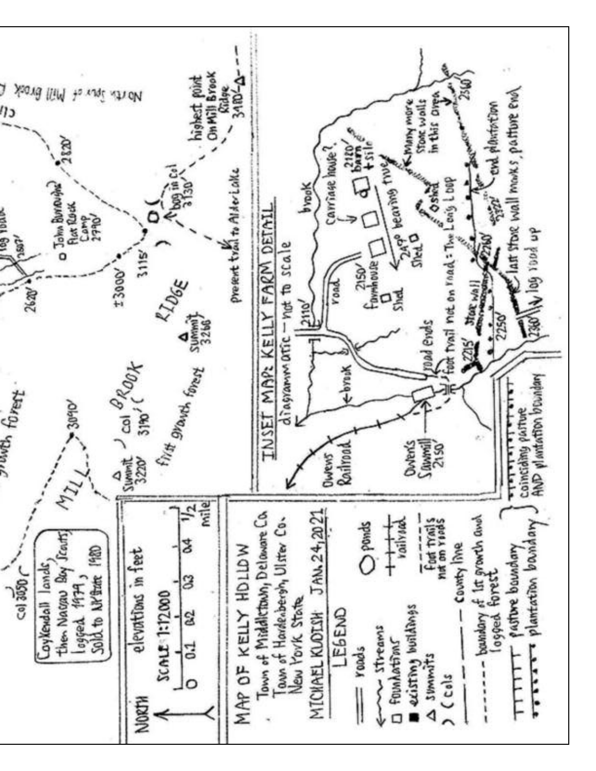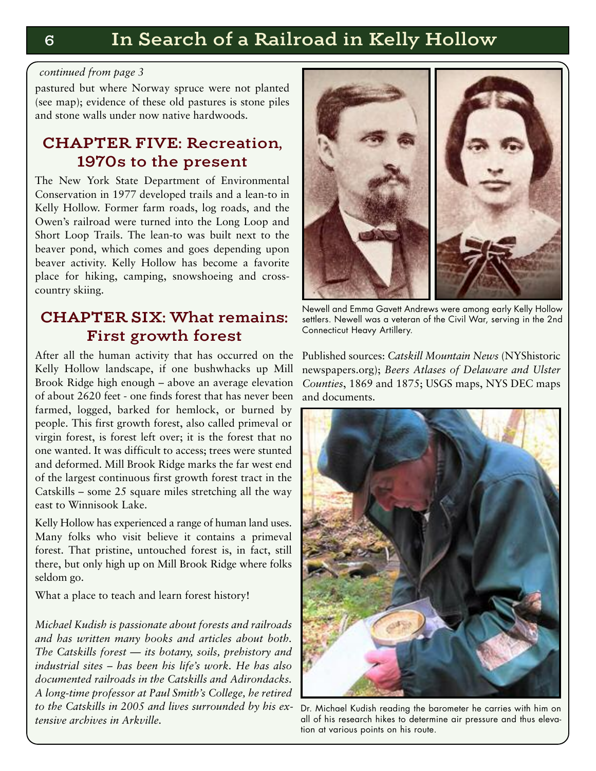#### *continued from page 3*

pastured but where Norway spruce were not planted (see map); evidence of these old pastures is stone piles and stone walls under now native hardwoods.

### **CHAPTER FIVE: Recreation, 1970s to the present**

The New York State Department of Environmental Conservation in 1977 developed trails and a lean-to in Kelly Hollow. Former farm roads, log roads, and the Owen's railroad were turned into the Long Loop and Short Loop Trails. The lean-to was built next to the beaver pond, which comes and goes depending upon beaver activity. Kelly Hollow has become a favorite place for hiking, camping, snowshoeing and crosscountry skiing.

## **CHAPTER SIX: What remains: First growth forest**

After all the human activity that has occurred on the Kelly Hollow landscape, if one bushwhacks up Mill Brook Ridge high enough – above an average elevation of about 2620 feet - one finds forest that has never been farmed, logged, barked for hemlock, or burned by people. This first growth forest, also called primeval or virgin forest, is forest left over; it is the forest that no one wanted. It was difficult to access; trees were stunted and deformed. Mill Brook Ridge marks the far west end of the largest continuous first growth forest tract in the Catskills – some 25 square miles stretching all the way east to Winnisook Lake.

Kelly Hollow has experienced a range of human land uses. Many folks who visit believe it contains a primeval forest. That pristine, untouched forest is, in fact, still there, but only high up on Mill Brook Ridge where folks seldom go.

What a place to teach and learn forest history!

*Michael Kudish is passionate about forests and railroads and has written many books and articles about both. The Catskills forest — its botany, soils, prehistory and industrial sites – has been his life's work. He has also documented railroads in the Catskills and Adirondacks. A long-time professor at Paul Smith's College, he retired to the Catskills in 2005 and lives surrounded by his extensive archives in Arkville.*



Newell and Emma Gavett Andrews were among early Kelly Hollow settlers. Newell was a veteran of the Civil War, serving in the 2nd Connecticut Heavy Artillery.

Published sources: *Catskill Mountain News* (NYShistoric newspapers.org); *Beers Atlases of Delaware and Ulster Counties*, 1869 and 1875; USGS maps, NYS DEC maps and documents.



Dr. Michael Kudish reading the barometer he carries with him on all of his research hikes to determine air pressure and thus elevation at various points on his route.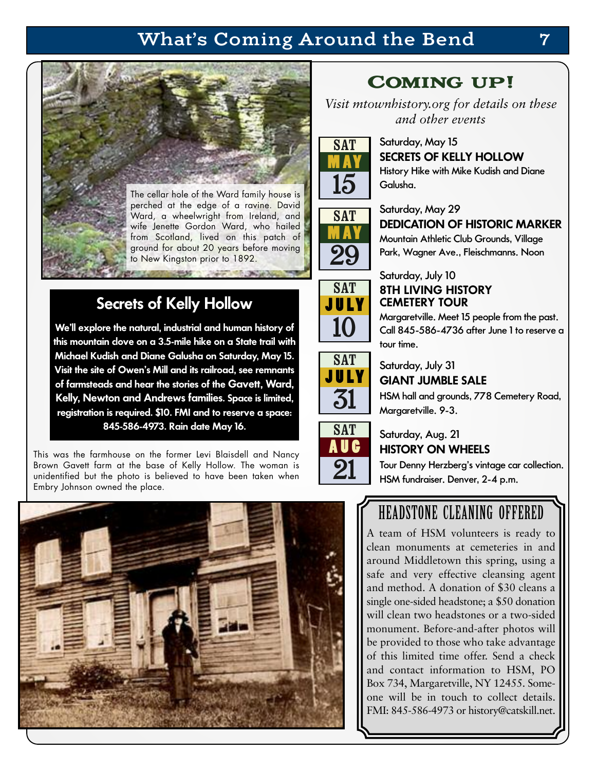# **What's Coming Around the Bend 7**



## **Secrets of Kelly Hollow**

**We'll explore the natural, industrial and human history of this mountain clove on a 3.5-mile hike on a State trail with Michael Kudish and Diane Galusha on Saturday, May 15. Visit the site of Owen's Mill and its railroad, see remnants of farmsteads and hear the stories of the Gavett, Ward, Kelly, Newton and Andrews families. Space is limited, registration is required. \$10. FMI and to reserve a space: 845-586-4973. Rain date May 16.**

This was the farmhouse on the former Levi Blaisdell and Nancy Brown Gavett farm at the base of Kelly Hollow. The woman is unidentified but the photo is believed to have been taken when Embry Johnson owned the place.



# Coming up!

*Visit mtownhistory.org for details on these and other events*



SAT **M AY**

29

SAT **J U LY**

10

SAT **J U LY**

31

### Saturday, May 15 **SECRETS OF KELLY HOLLOW** History Hike with Mike Kudish and Diane

Galusha.

### Saturday, May 29

### **DEDICATION OF HISTORIC MARKER**

Mountain Athletic Club Grounds, Village Park, Wagner Ave., Fleischmanns. Noon

### Saturday, July 10 **8TH LIVING HISTORY CEMETERY TOUR**

Margaretville. Meet 15 people from the past. Call 845-586-4736 after June 1 to reserve a tour time.

## Saturday, July 31 **GIANT JUMBLE SALE**

HSM hall and grounds, 778 Cemetery Road, Margaretville. 9-3.



### Saturday, Aug. 21 **HISTORY ON WHEELS**

Tour Denny Herzberg's vintage car collection. HSM fundraiser. Denver, 2-4 p.m.

# HEADSTONE CLEANING OFFERED

A team of HSM volunteers is ready to clean monuments at cemeteries in and around Middletown this spring, using a safe and very effective cleansing agent and method. A donation of \$30 cleans a single one-sided headstone; a \$50 donation will clean two headstones or a two-sided monument. Before-and-after photos will be provided to those who take advantage of this limited time offer. Send a check and contact information to HSM, PO Box 734, Margaretville, NY 12455. Someone will be in touch to collect details. FMI: 845-586-4973 or history@catskill.net.